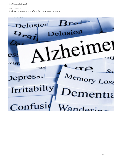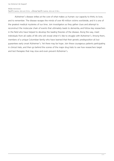## เขียนโดย Administrator วันศุกร์ที่ 15 เมษายน 2016 เวลา 07:32 น. - แก้ไขล่าสุด วันศุกร์ที่ 15 เมษายน 2016 เวลา 07:38 น.

 Alzheimer's disease strikes at the core of what makes us human: our capacity to think, to love, and to remember. The disease ravages the minds of over 40 million victims worldwide, and it is one of the greatest medical mysteries of our time. Join investigators as they gather clues and attempt to reconstruct the molecular chain of events that ultimately leads to dementia, and follow key researchers in the field who have helped to develop the leading theories of the disease. Along the way, meet individuals from all walks of life who will reveal what it's like to struggle with Alzheimer's. Among them, members of a unique Colombian family who have learned that their genetic predisposition all but guarantees early onset Alzheimer's. Yet there may be hope. Join these courageous patients participating in clinical trials, and then go behind the scenes of the major drug trials to see how researchers target and test therapies that may slow and even prevent Alzheimer's.